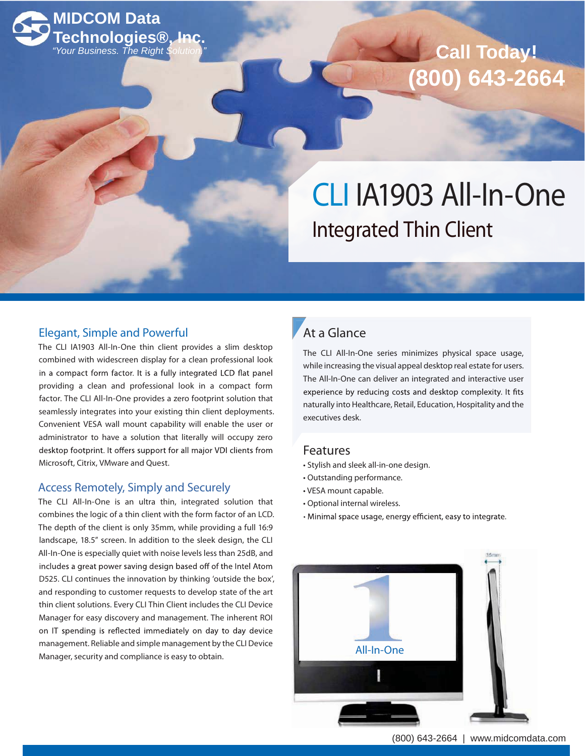

# $Call$  Today! **(800) 643-2664**

CLI IA1903 All-In-One Integrated Thin Client

### Elegant, Simple and Powerful

The CLI IA1903 All-In-One thin client provides a slim desktop combined with widescreen display for a clean professional look in a compact form factor. It is a fully integrated LCD flat panel providing a clean and professional look in a compact form factor. The CLI All-In-One provides a zero footprint solution that seamlessly integrates into your existing thin client deployments. Convenient VESA wall mount capability will enable the user or administrator to have a solution that literally will occupy zero desktop footprint. It offers support for all major VDI clients from Microsoft, Citrix, VMware and Quest.

### Access Remotely, Simply and Securely

The CLI All-In-One is an ultra thin, integrated solution that combines the logic of a thin client with the form factor of an LCD. The depth of the client is only 35mm, while providing a full 16:9 landscape, 18.5" screen. In addition to the sleek design, the CLI All-In-One is especially quiet with noise levels less than 25dB, and includes a great power saving design based off of the Intel Atom D525. CLI continues the innovation by thinking 'outside the box', and responding to customer requests to develop state of the art thin client solutions. Every CLI Thin Client includes the CLI Device Manager for easy discovery and management. The inherent ROI on IT spending is reflected immediately on day to day device management. Reliable and simple management by the CLI Device Management: he has easy to obtain.

### At a Glance

The CLI All-In-One series minimizes physical space usage, while increasing the visual appeal desktop real estate for users. The All-In-One can deliver an integrated and interactive user experience by reducing costs and desktop complexity. It fits naturally into Healthcare, Retail, Education, Hospitality and the executives desk.

#### Features

- Stylish and sleek all-in-one design.
- Outstanding performance.
- VESA mount capable.
- Optional internal wireless.
- · Minimal space usage, energy efficient, easy to integrate.